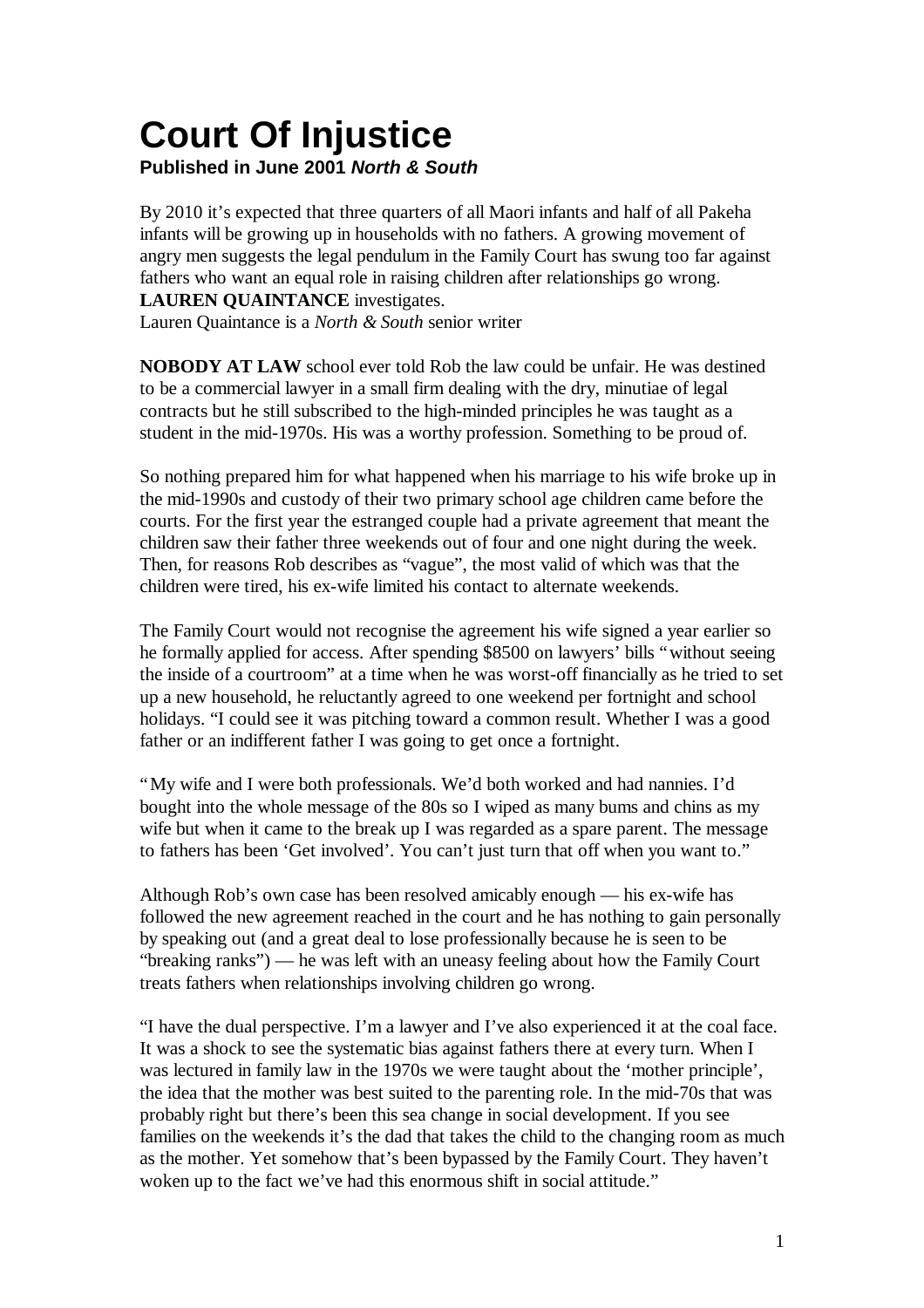# **Court Of Injustice**

**Published in June 2001** *North & South*

By 2010 it's expected that three quarters of all Maori infants and half of all Pakeha infants will be growing up in households with no fathers. A growing movement of angry men suggests the legal pendulum in the Family Court has swung too far against fathers who want an equal role in raising children after relationships go wrong. **LAUREN QUAINTANCE** investigates.

Lauren Quaintance is a *North & South* senior writer

**NOBODY AT LAW** school ever told Rob the law could be unfair. He was destined to be a commercial lawyer in a small firm dealing with the dry, minutiae of legal contracts but he still subscribed to the high-minded principles he was taught as a student in the mid-1970s. His was a worthy profession. Something to be proud of.

So nothing prepared him for what happened when his marriage to his wife broke up in the mid-1990s and custody of their two primary school age children came before the courts. For the first year the estranged couple had a private agreement that meant the children saw their father three weekends out of four and one night during the week. Then, for reasons Rob describes as "vague", the most valid of which was that the children were tired, his ex-wife limited his contact to alternate weekends.

The Family Court would not recognise the agreement his wife signed a year earlier so he formally applied for access. After spending \$8500 on lawyers' bills "without seeing the inside of a courtroom" at a time when he was worst-off financially as he tried to set up a new household, he reluctantly agreed to one weekend per fortnight and school holidays. "I could see it was pitching toward a common result. Whether I was a good father or an indifferent father I was going to get once a fortnight.

"My wife and I were both professionals. We'd both worked and had nannies. I'd bought into the whole message of the 80s so I wiped as many bums and chins as my wife but when it came to the break up I was regarded as a spare parent. The message to fathers has been 'Get involved'. You can't just turn that off when you want to."

Although Rob's own case has been resolved amicably enough — his ex-wife has followed the new agreement reached in the court and he has nothing to gain personally by speaking out (and a great deal to lose professionally because he is seen to be "breaking ranks") — he was left with an uneasy feeling about how the Family Court treats fathers when relationships involving children go wrong.

"I have the dual perspective. I'm a lawyer and I've also experienced it at the coal face. It was a shock to see the systematic bias against fathers there at every turn. When I was lectured in family law in the 1970s we were taught about the 'mother principle', the idea that the mother was best suited to the parenting role. In the mid-70s that was probably right but there's been this sea change in social development. If you see families on the weekends it's the dad that takes the child to the changing room as much as the mother. Yet somehow that's been bypassed by the Family Court. They haven't woken up to the fact we've had this enormous shift in social attitude."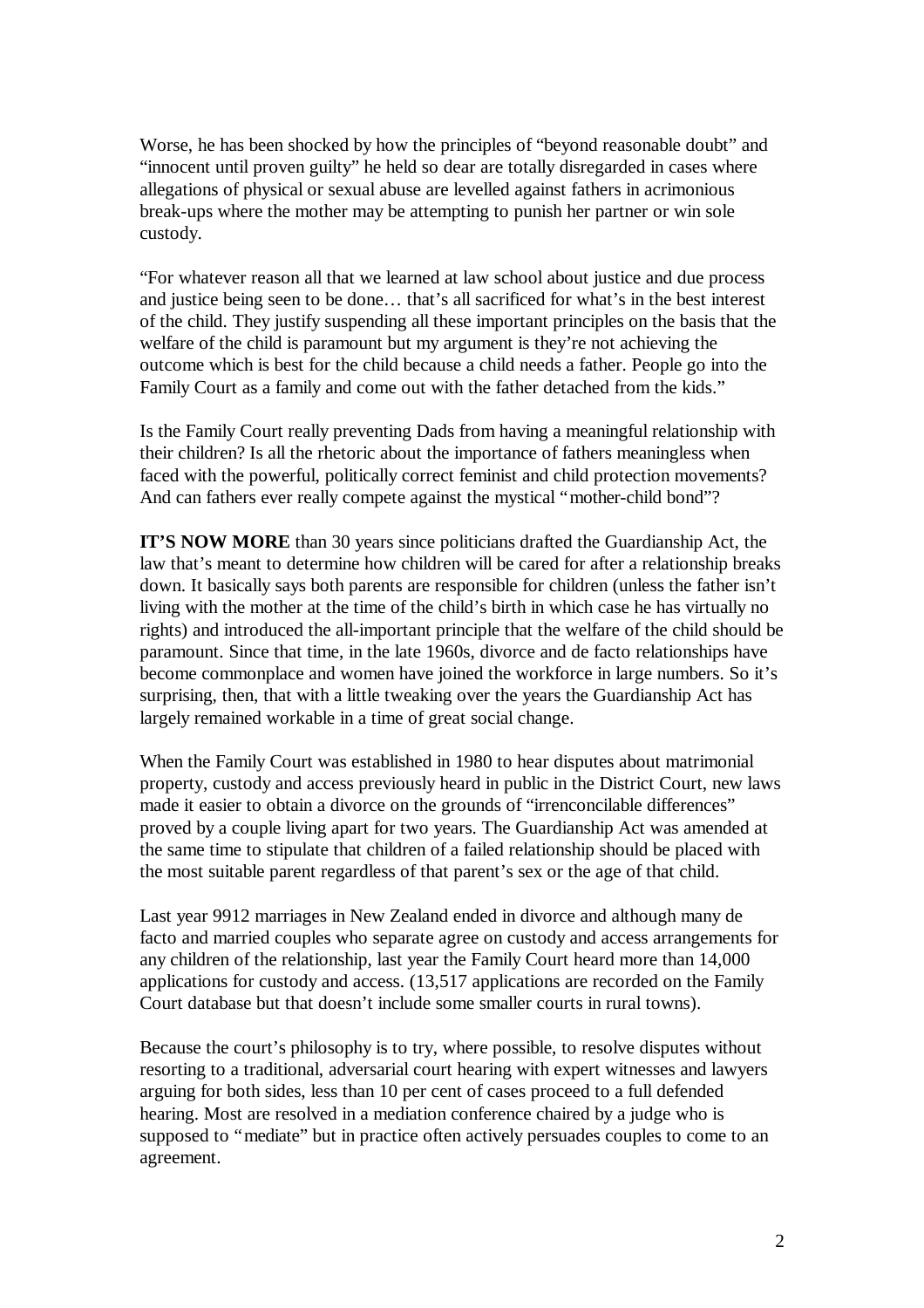Worse, he has been shocked by how the principles of "beyond reasonable doubt" and "innocent until proven guilty" he held so dear are totally disregarded in cases where allegations of physical or sexual abuse are levelled against fathers in acrimonious break-ups where the mother may be attempting to punish her partner or win sole custody.

"For whatever reason all that we learned at law school about justice and due process and justice being seen to be done… that's all sacrificed for what's in the best interest of the child. They justify suspending all these important principles on the basis that the welfare of the child is paramount but my argument is they're not achieving the outcome which is best for the child because a child needs a father. People go into the Family Court as a family and come out with the father detached from the kids."

Is the Family Court really preventing Dads from having a meaningful relationship with their children? Is all the rhetoric about the importance of fathers meaningless when faced with the powerful, politically correct feminist and child protection movements? And can fathers ever really compete against the mystical "mother-child bond"?

**IT'S NOW MORE** than 30 years since politicians drafted the Guardianship Act, the law that's meant to determine how children will be cared for after a relationship breaks down. It basically says both parents are responsible for children (unless the father isn't living with the mother at the time of the child's birth in which case he has virtually no rights) and introduced the all-important principle that the welfare of the child should be paramount. Since that time, in the late 1960s, divorce and de facto relationships have become commonplace and women have joined the workforce in large numbers. So it's surprising, then, that with a little tweaking over the years the Guardianship Act has largely remained workable in a time of great social change.

When the Family Court was established in 1980 to hear disputes about matrimonial property, custody and access previously heard in public in the District Court, new laws made it easier to obtain a divorce on the grounds of "irrenconcilable differences" proved by a couple living apart for two years. The Guardianship Act was amended at the same time to stipulate that children of a failed relationship should be placed with the most suitable parent regardless of that parent's sex or the age of that child.

Last year 9912 marriages in New Zealand ended in divorce and although many de facto and married couples who separate agree on custody and access arrangements for any children of the relationship, last year the Family Court heard more than 14,000 applications for custody and access. (13,517 applications are recorded on the Family Court database but that doesn't include some smaller courts in rural towns).

Because the court's philosophy is to try, where possible, to resolve disputes without resorting to a traditional, adversarial court hearing with expert witnesses and lawyers arguing for both sides, less than 10 per cent of cases proceed to a full defended hearing. Most are resolved in a mediation conference chaired by a judge who is supposed to "mediate" but in practice often actively persuades couples to come to an agreement.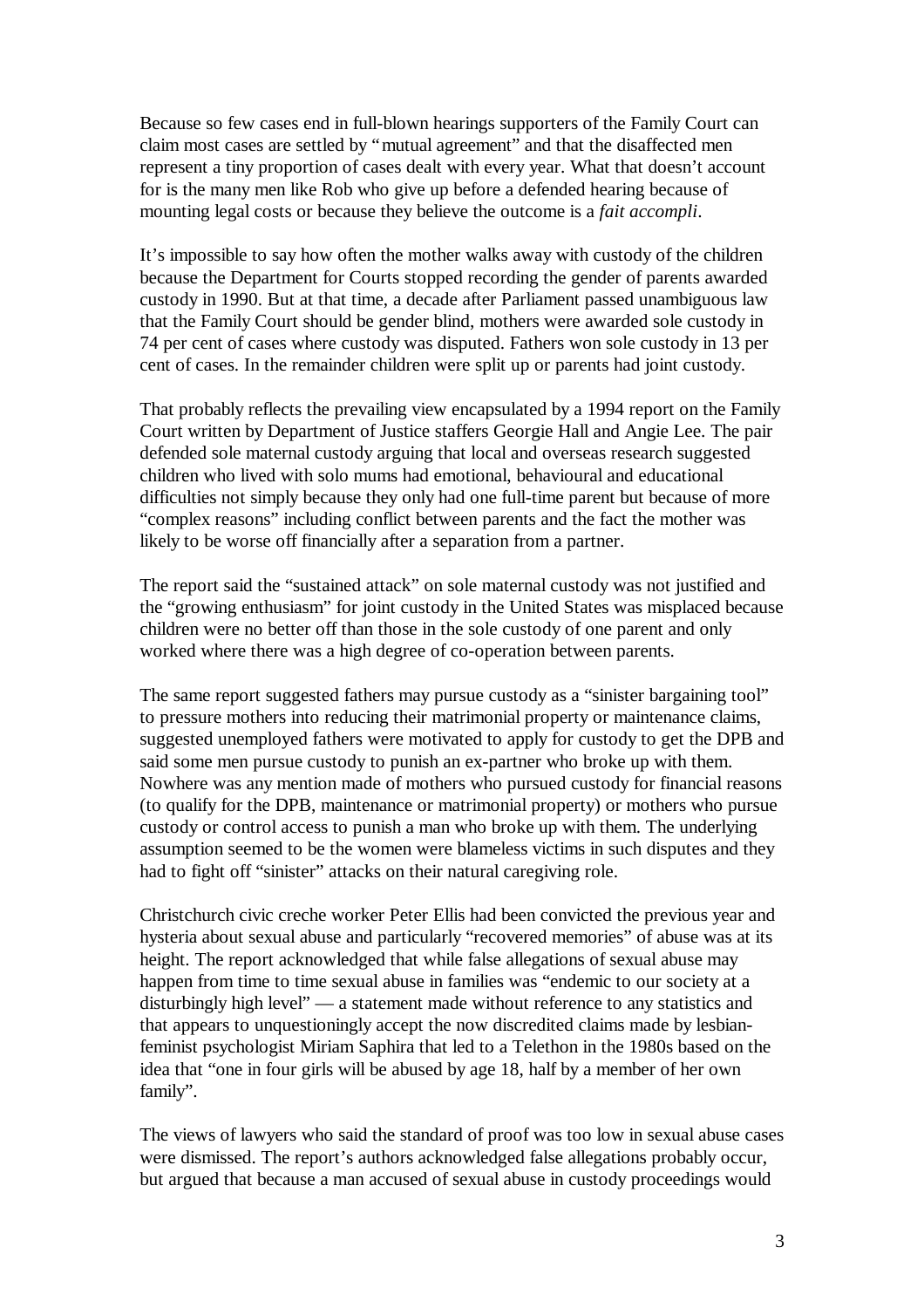Because so few cases end in full-blown hearings supporters of the Family Court can claim most cases are settled by "mutual agreement" and that the disaffected men represent a tiny proportion of cases dealt with every year. What that doesn't account for is the many men like Rob who give up before a defended hearing because of mounting legal costs or because they believe the outcome is a *fait accompli*.

It's impossible to say how often the mother walks away with custody of the children because the Department for Courts stopped recording the gender of parents awarded custody in 1990. But at that time, a decade after Parliament passed unambiguous law that the Family Court should be gender blind, mothers were awarded sole custody in 74 per cent of cases where custody was disputed. Fathers won sole custody in 13 per cent of cases. In the remainder children were split up or parents had joint custody.

That probably reflects the prevailing view encapsulated by a 1994 report on the Family Court written by Department of Justice staffers Georgie Hall and Angie Lee. The pair defended sole maternal custody arguing that local and overseas research suggested children who lived with solo mums had emotional, behavioural and educational difficulties not simply because they only had one full-time parent but because of more "complex reasons" including conflict between parents and the fact the mother was likely to be worse off financially after a separation from a partner.

The report said the "sustained attack" on sole maternal custody was not justified and the "growing enthusiasm" for joint custody in the United States was misplaced because children were no better off than those in the sole custody of one parent and only worked where there was a high degree of co-operation between parents.

The same report suggested fathers may pursue custody as a "sinister bargaining tool" to pressure mothers into reducing their matrimonial property or maintenance claims, suggested unemployed fathers were motivated to apply for custody to get the DPB and said some men pursue custody to punish an ex-partner who broke up with them. Nowhere was any mention made of mothers who pursued custody for financial reasons (to qualify for the DPB, maintenance or matrimonial property) or mothers who pursue custody or control access to punish a man who broke up with them. The underlying assumption seemed to be the women were blameless victims in such disputes and they had to fight off "sinister" attacks on their natural caregiving role.

Christchurch civic creche worker Peter Ellis had been convicted the previous year and hysteria about sexual abuse and particularly "recovered memories" of abuse was at its height. The report acknowledged that while false allegations of sexual abuse may happen from time to time sexual abuse in families was "endemic to our society at a disturbingly high level" — a statement made without reference to any statistics and that appears to unquestioningly accept the now discredited claims made by lesbianfeminist psychologist Miriam Saphira that led to a Telethon in the 1980s based on the idea that "one in four girls will be abused by age 18, half by a member of her own family".

The views of lawyers who said the standard of proof was too low in sexual abuse cases were dismissed. The report's authors acknowledged false allegations probably occur, but argued that because a man accused of sexual abuse in custody proceedings would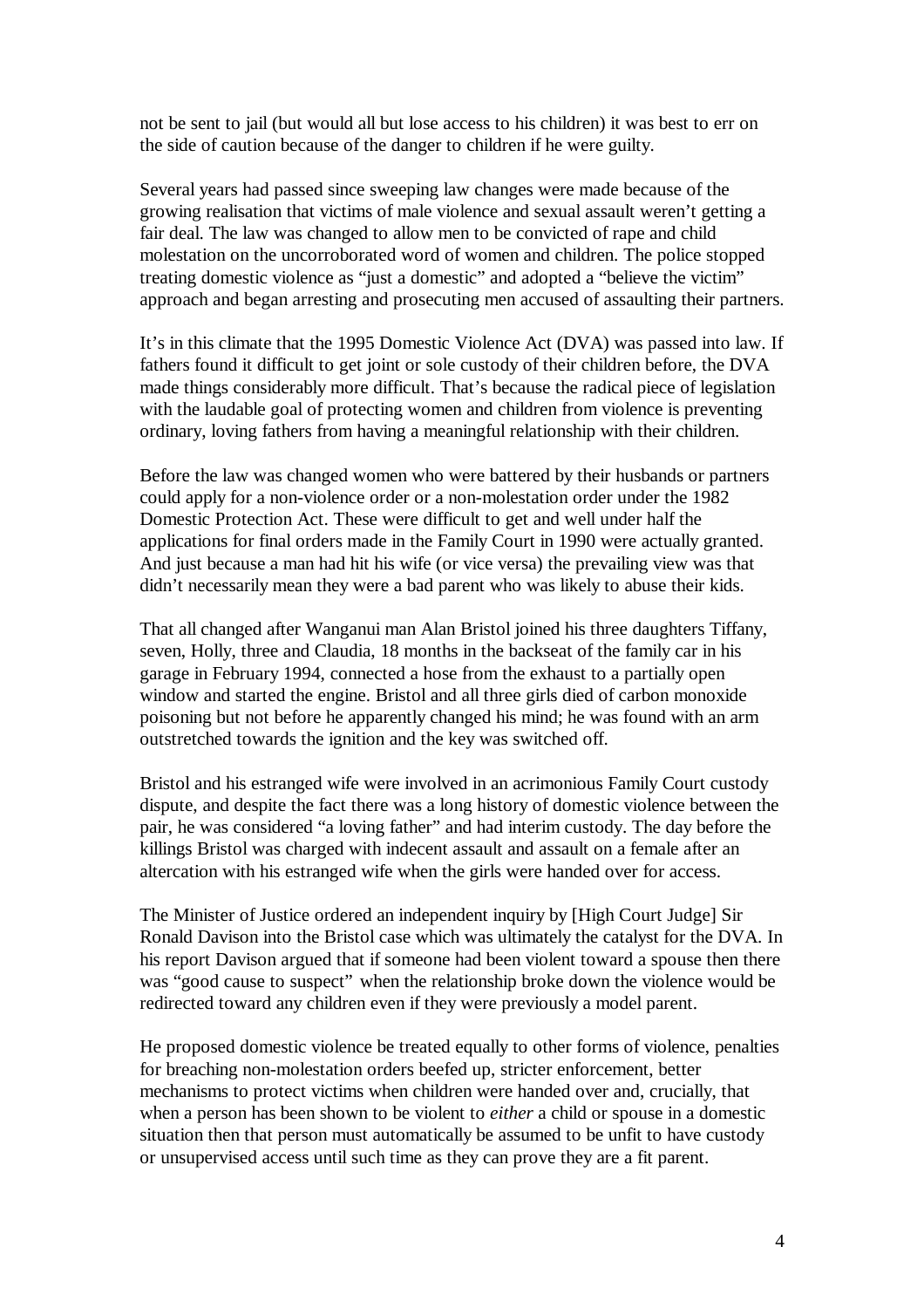not be sent to jail (but would all but lose access to his children) it was best to err on the side of caution because of the danger to children if he were guilty.

Several years had passed since sweeping law changes were made because of the growing realisation that victims of male violence and sexual assault weren't getting a fair deal. The law was changed to allow men to be convicted of rape and child molestation on the uncorroborated word of women and children. The police stopped treating domestic violence as "just a domestic" and adopted a "believe the victim" approach and began arresting and prosecuting men accused of assaulting their partners.

It's in this climate that the 1995 Domestic Violence Act (DVA) was passed into law. If fathers found it difficult to get joint or sole custody of their children before, the DVA made things considerably more difficult. That's because the radical piece of legislation with the laudable goal of protecting women and children from violence is preventing ordinary, loving fathers from having a meaningful relationship with their children.

Before the law was changed women who were battered by their husbands or partners could apply for a non-violence order or a non-molestation order under the 1982 Domestic Protection Act. These were difficult to get and well under half the applications for final orders made in the Family Court in 1990 were actually granted. And just because a man had hit his wife (or vice versa) the prevailing view was that didn't necessarily mean they were a bad parent who was likely to abuse their kids.

That all changed after Wanganui man Alan Bristol joined his three daughters Tiffany, seven, Holly, three and Claudia, 18 months in the backseat of the family car in his garage in February 1994, connected a hose from the exhaust to a partially open window and started the engine. Bristol and all three girls died of carbon monoxide poisoning but not before he apparently changed his mind; he was found with an arm outstretched towards the ignition and the key was switched off.

Bristol and his estranged wife were involved in an acrimonious Family Court custody dispute, and despite the fact there was a long history of domestic violence between the pair, he was considered "a loving father" and had interim custody. The day before the killings Bristol was charged with indecent assault and assault on a female after an altercation with his estranged wife when the girls were handed over for access.

The Minister of Justice ordered an independent inquiry by [High Court Judge] Sir Ronald Davison into the Bristol case which was ultimately the catalyst for the DVA. In his report Davison argued that if someone had been violent toward a spouse then there was "good cause to suspect" when the relationship broke down the violence would be redirected toward any children even if they were previously a model parent.

He proposed domestic violence be treated equally to other forms of violence, penalties for breaching non-molestation orders beefed up, stricter enforcement, better mechanisms to protect victims when children were handed over and, crucially, that when a person has been shown to be violent to *either* a child or spouse in a domestic situation then that person must automatically be assumed to be unfit to have custody or unsupervised access until such time as they can prove they are a fit parent.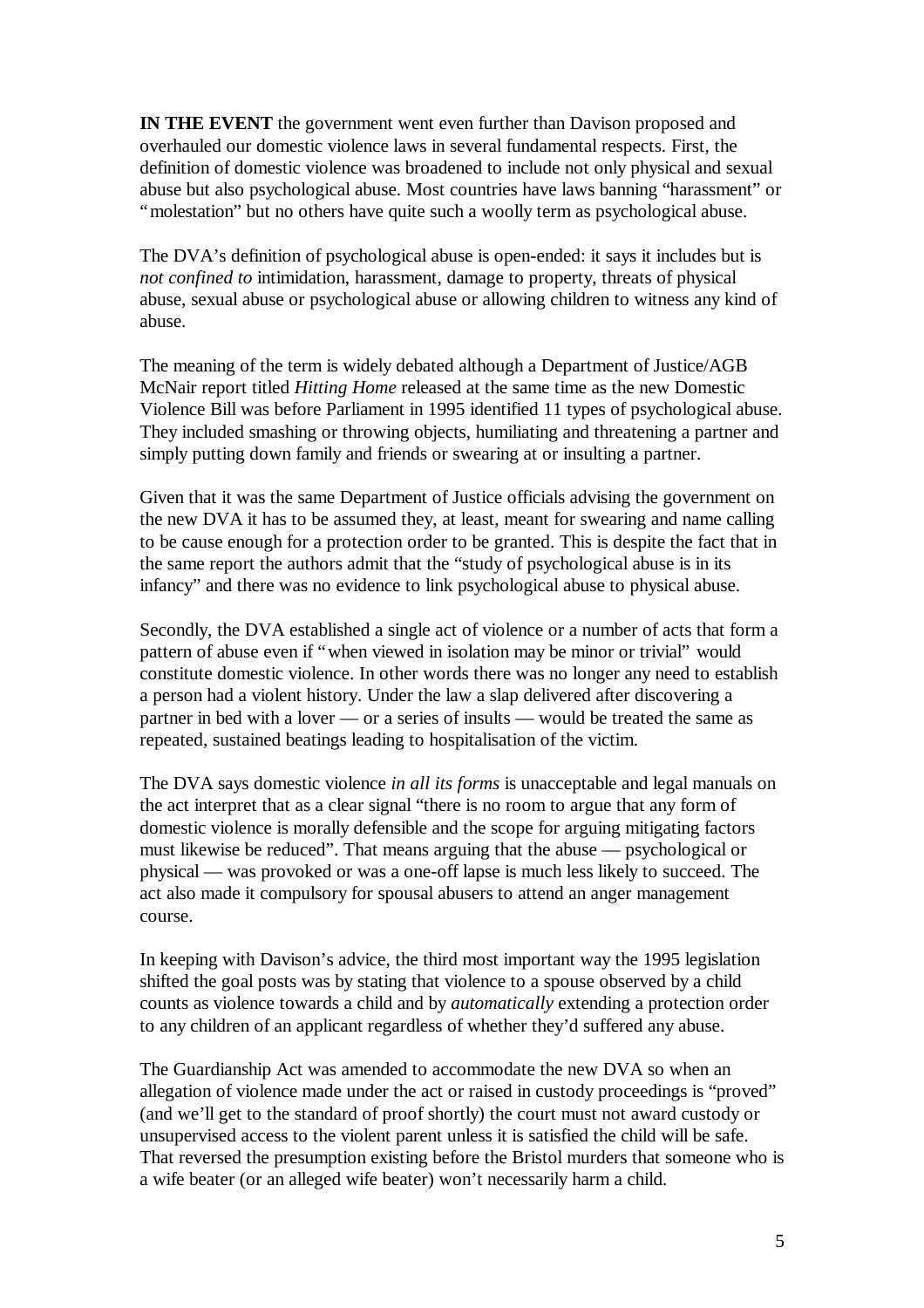**IN THE EVENT** the government went even further than Davison proposed and overhauled our domestic violence laws in several fundamental respects. First, the definition of domestic violence was broadened to include not only physical and sexual abuse but also psychological abuse. Most countries have laws banning "harassment" or "molestation" but no others have quite such a woolly term as psychological abuse.

The DVA's definition of psychological abuse is open-ended: it says it includes but is *not confined to* intimidation, harassment, damage to property, threats of physical abuse, sexual abuse or psychological abuse or allowing children to witness any kind of abuse.

The meaning of the term is widely debated although a Department of Justice/AGB McNair report titled *Hitting Home* released at the same time as the new Domestic Violence Bill was before Parliament in 1995 identified 11 types of psychological abuse. They included smashing or throwing objects, humiliating and threatening a partner and simply putting down family and friends or swearing at or insulting a partner.

Given that it was the same Department of Justice officials advising the government on the new DVA it has to be assumed they, at least, meant for swearing and name calling to be cause enough for a protection order to be granted. This is despite the fact that in the same report the authors admit that the "study of psychological abuse is in its infancy" and there was no evidence to link psychological abuse to physical abuse.

Secondly, the DVA established a single act of violence or a number of acts that form a pattern of abuse even if "when viewed in isolation may be minor or trivial" would constitute domestic violence. In other words there was no longer any need to establish a person had a violent history. Under the law a slap delivered after discovering a partner in bed with a lover — or a series of insults — would be treated the same as repeated, sustained beatings leading to hospitalisation of the victim.

The DVA says domestic violence *in all its forms* is unacceptable and legal manuals on the act interpret that as a clear signal "there is no room to argue that any form of domestic violence is morally defensible and the scope for arguing mitigating factors must likewise be reduced". That means arguing that the abuse — psychological or physical — was provoked or was a one-off lapse is much less likely to succeed. The act also made it compulsory for spousal abusers to attend an anger management course.

In keeping with Davison's advice, the third most important way the 1995 legislation shifted the goal posts was by stating that violence to a spouse observed by a child counts as violence towards a child and by *automatically* extending a protection order to any children of an applicant regardless of whether they'd suffered any abuse.

The Guardianship Act was amended to accommodate the new DVA so when an allegation of violence made under the act or raised in custody proceedings is "proved" (and we'll get to the standard of proof shortly) the court must not award custody or unsupervised access to the violent parent unless it is satisfied the child will be safe. That reversed the presumption existing before the Bristol murders that someone who is a wife beater (or an alleged wife beater) won't necessarily harm a child.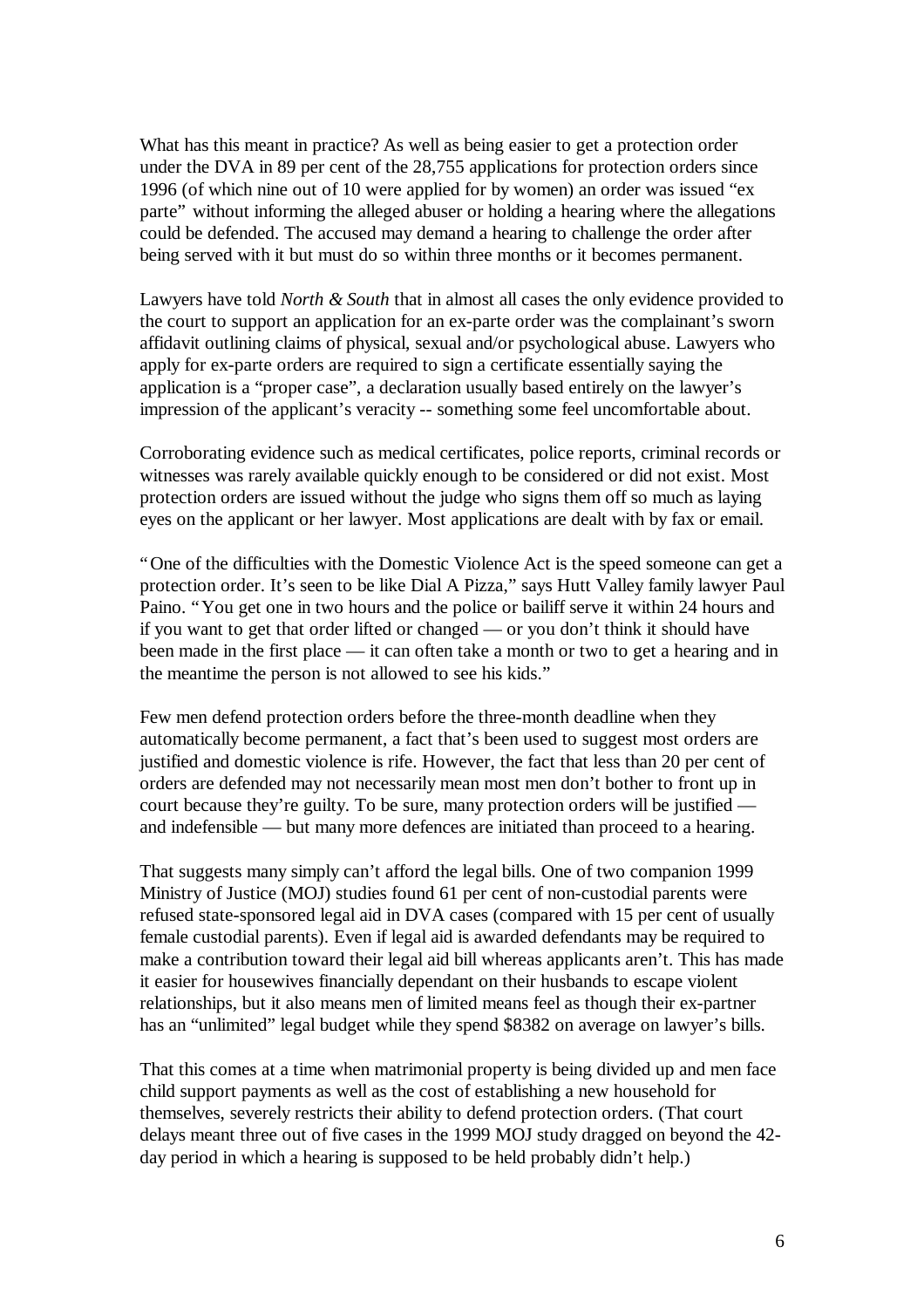What has this meant in practice? As well as being easier to get a protection order under the DVA in 89 per cent of the 28,755 applications for protection orders since 1996 (of which nine out of 10 were applied for by women) an order was issued "ex parte" without informing the alleged abuser or holding a hearing where the allegations could be defended. The accused may demand a hearing to challenge the order after being served with it but must do so within three months or it becomes permanent.

Lawyers have told *North & South* that in almost all cases the only evidence provided to the court to support an application for an ex-parte order was the complainant's sworn affidavit outlining claims of physical, sexual and/or psychological abuse. Lawyers who apply for ex-parte orders are required to sign a certificate essentially saying the application is a "proper case", a declaration usually based entirely on the lawyer's impression of the applicant's veracity -- something some feel uncomfortable about.

Corroborating evidence such as medical certificates, police reports, criminal records or witnesses was rarely available quickly enough to be considered or did not exist. Most protection orders are issued without the judge who signs them off so much as laying eyes on the applicant or her lawyer. Most applications are dealt with by fax or email.

"One of the difficulties with the Domestic Violence Act is the speed someone can get a protection order. It's seen to be like Dial A Pizza," says Hutt Valley family lawyer Paul Paino. "You get one in two hours and the police or bailiff serve it within 24 hours and if you want to get that order lifted or changed — or you don't think it should have been made in the first place — it can often take a month or two to get a hearing and in the meantime the person is not allowed to see his kids."

Few men defend protection orders before the three-month deadline when they automatically become permanent, a fact that's been used to suggest most orders are justified and domestic violence is rife. However, the fact that less than 20 per cent of orders are defended may not necessarily mean most men don't bother to front up in court because they're guilty. To be sure, many protection orders will be justified and indefensible — but many more defences are initiated than proceed to a hearing.

That suggests many simply can't afford the legal bills. One of two companion 1999 Ministry of Justice (MOJ) studies found 61 per cent of non-custodial parents were refused state-sponsored legal aid in DVA cases (compared with 15 per cent of usually female custodial parents). Even if legal aid is awarded defendants may be required to make a contribution toward their legal aid bill whereas applicants aren't. This has made it easier for housewives financially dependant on their husbands to escape violent relationships, but it also means men of limited means feel as though their ex-partner has an "unlimited" legal budget while they spend \$8382 on average on lawyer's bills.

That this comes at a time when matrimonial property is being divided up and men face child support payments as well as the cost of establishing a new household for themselves, severely restricts their ability to defend protection orders. (That court delays meant three out of five cases in the 1999 MOJ study dragged on beyond the 42 day period in which a hearing is supposed to be held probably didn't help.)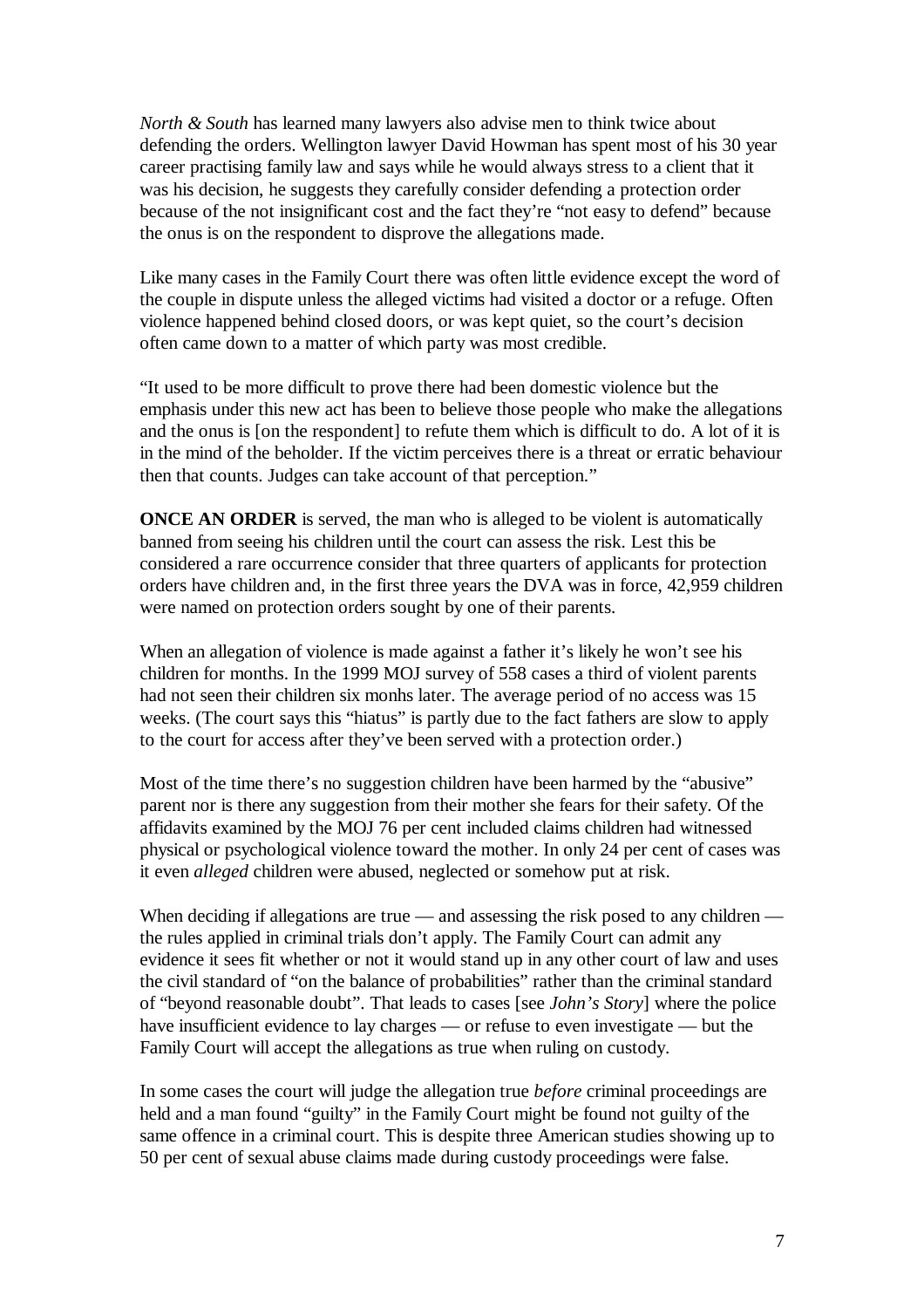*North & South* has learned many lawyers also advise men to think twice about defending the orders. Wellington lawyer David Howman has spent most of his 30 year career practising family law and says while he would always stress to a client that it was his decision, he suggests they carefully consider defending a protection order because of the not insignificant cost and the fact they're "not easy to defend" because the onus is on the respondent to disprove the allegations made.

Like many cases in the Family Court there was often little evidence except the word of the couple in dispute unless the alleged victims had visited a doctor or a refuge. Often violence happened behind closed doors, or was kept quiet, so the court's decision often came down to a matter of which party was most credible.

"It used to be more difficult to prove there had been domestic violence but the emphasis under this new act has been to believe those people who make the allegations and the onus is [on the respondent] to refute them which is difficult to do. A lot of it is in the mind of the beholder. If the victim perceives there is a threat or erratic behaviour then that counts. Judges can take account of that perception."

**ONCE AN ORDER** is served, the man who is alleged to be violent is automatically banned from seeing his children until the court can assess the risk. Lest this be considered a rare occurrence consider that three quarters of applicants for protection orders have children and, in the first three years the DVA was in force, 42,959 children were named on protection orders sought by one of their parents.

When an allegation of violence is made against a father it's likely he won't see his children for months. In the 1999 MOJ survey of 558 cases a third of violent parents had not seen their children six monhs later. The average period of no access was 15 weeks. (The court says this "hiatus" is partly due to the fact fathers are slow to apply to the court for access after they've been served with a protection order.)

Most of the time there's no suggestion children have been harmed by the "abusive" parent nor is there any suggestion from their mother she fears for their safety. Of the affidavits examined by the MOJ 76 per cent included claims children had witnessed physical or psychological violence toward the mother. In only 24 per cent of cases was it even *alleged* children were abused, neglected or somehow put at risk.

When deciding if allegations are true — and assessing the risk posed to any children the rules applied in criminal trials don't apply. The Family Court can admit any evidence it sees fit whether or not it would stand up in any other court of law and uses the civil standard of "on the balance of probabilities" rather than the criminal standard of "beyond reasonable doubt". That leads to cases [see *John's Story*] where the police have insufficient evidence to lay charges — or refuse to even investigate — but the Family Court will accept the allegations as true when ruling on custody.

In some cases the court will judge the allegation true *before* criminal proceedings are held and a man found "guilty" in the Family Court might be found not guilty of the same offence in a criminal court. This is despite three American studies showing up to 50 per cent of sexual abuse claims made during custody proceedings were false.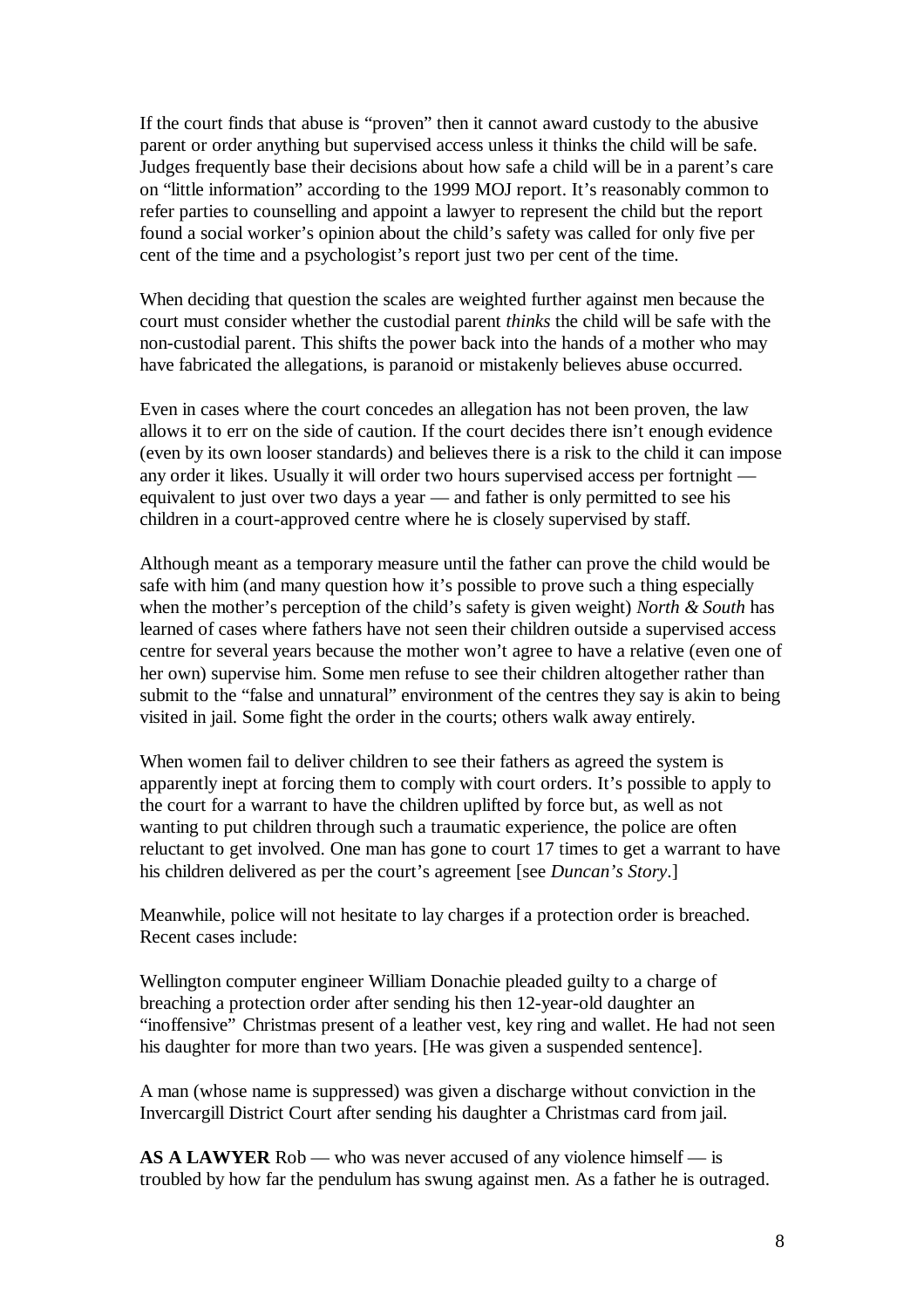If the court finds that abuse is "proven" then it cannot award custody to the abusive parent or order anything but supervised access unless it thinks the child will be safe. Judges frequently base their decisions about how safe a child will be in a parent's care on "little information" according to the 1999 MOJ report. It's reasonably common to refer parties to counselling and appoint a lawyer to represent the child but the report found a social worker's opinion about the child's safety was called for only five per cent of the time and a psychologist's report just two per cent of the time.

When deciding that question the scales are weighted further against men because the court must consider whether the custodial parent *thinks* the child will be safe with the non-custodial parent. This shifts the power back into the hands of a mother who may have fabricated the allegations, is paranoid or mistakenly believes abuse occurred.

Even in cases where the court concedes an allegation has not been proven, the law allows it to err on the side of caution. If the court decides there isn't enough evidence (even by its own looser standards) and believes there is a risk to the child it can impose any order it likes. Usually it will order two hours supervised access per fortnight equivalent to just over two days a year — and father is only permitted to see his children in a court-approved centre where he is closely supervised by staff.

Although meant as a temporary measure until the father can prove the child would be safe with him (and many question how it's possible to prove such a thing especially when the mother's perception of the child's safety is given weight) *North & South* has learned of cases where fathers have not seen their children outside a supervised access centre for several years because the mother won't agree to have a relative (even one of her own) supervise him. Some men refuse to see their children altogether rather than submit to the "false and unnatural" environment of the centres they say is akin to being visited in jail. Some fight the order in the courts; others walk away entirely.

When women fail to deliver children to see their fathers as agreed the system is apparently inept at forcing them to comply with court orders. It's possible to apply to the court for a warrant to have the children uplifted by force but, as well as not wanting to put children through such a traumatic experience, the police are often reluctant to get involved. One man has gone to court 17 times to get a warrant to have his children delivered as per the court's agreement [see *Duncan's Story*.]

Meanwhile, police will not hesitate to lay charges if a protection order is breached. Recent cases include:

Wellington computer engineer William Donachie pleaded guilty to a charge of breaching a protection order after sending his then 12-year-old daughter an "inoffensive" Christmas present of a leather vest, key ring and wallet. He had not seen his daughter for more than two years. [He was given a suspended sentence].

A man (whose name is suppressed) was given a discharge without conviction in the Invercargill District Court after sending his daughter a Christmas card from jail.

AS A LAWYER Rob — who was never accused of any violence himself — is troubled by how far the pendulum has swung against men. As a father he is outraged.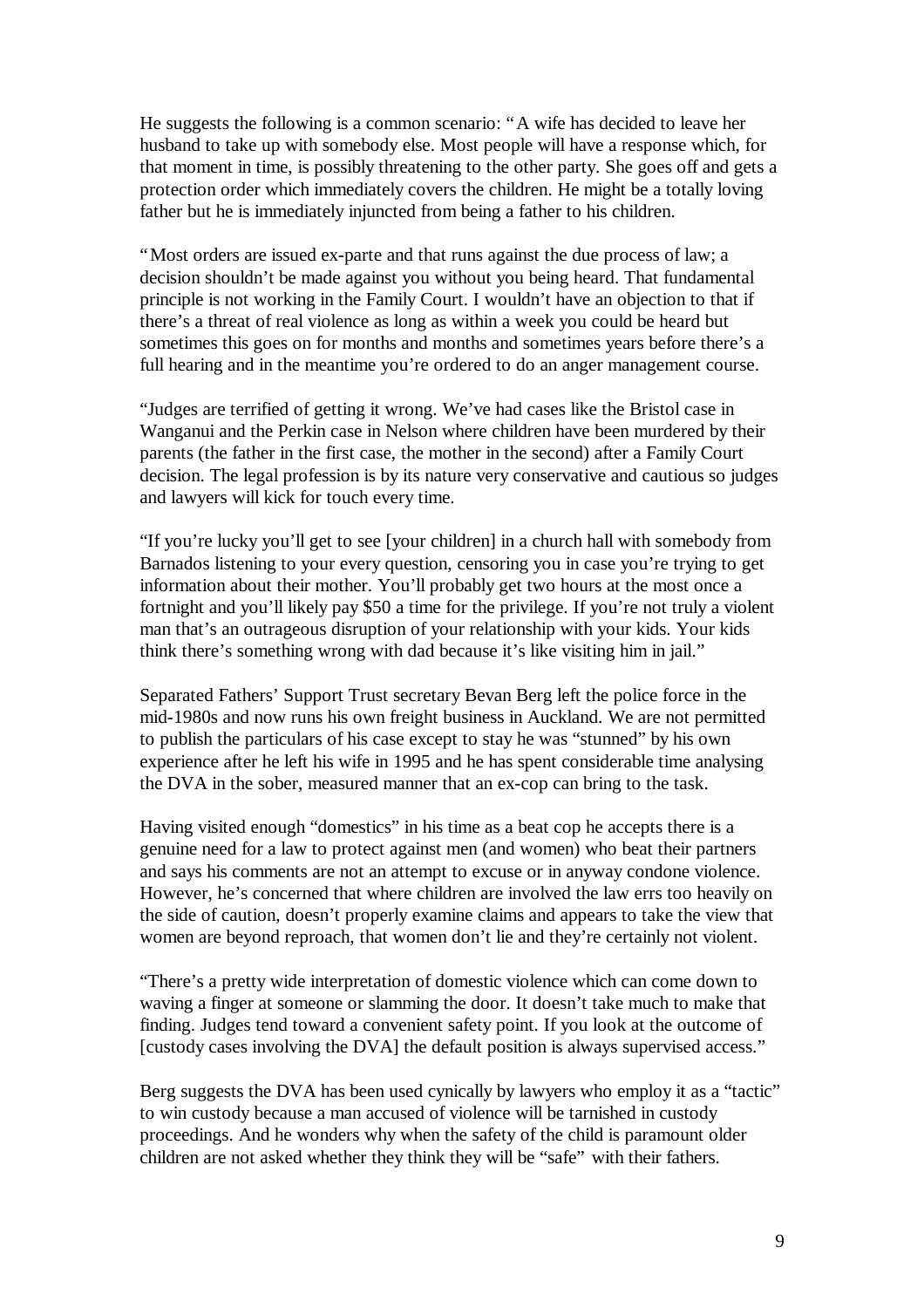He suggests the following is a common scenario: "A wife has decided to leave her husband to take up with somebody else. Most people will have a response which, for that moment in time, is possibly threatening to the other party. She goes off and gets a protection order which immediately covers the children. He might be a totally loving father but he is immediately injuncted from being a father to his children.

"Most orders are issued ex-parte and that runs against the due process of law; a decision shouldn't be made against you without you being heard. That fundamental principle is not working in the Family Court. I wouldn't have an objection to that if there's a threat of real violence as long as within a week you could be heard but sometimes this goes on for months and months and sometimes years before there's a full hearing and in the meantime you're ordered to do an anger management course.

"Judges are terrified of getting it wrong. We've had cases like the Bristol case in Wanganui and the Perkin case in Nelson where children have been murdered by their parents (the father in the first case, the mother in the second) after a Family Court decision. The legal profession is by its nature very conservative and cautious so judges and lawyers will kick for touch every time.

"If you're lucky you'll get to see [your children] in a church hall with somebody from Barnados listening to your every question, censoring you in case you're trying to get information about their mother. You'll probably get two hours at the most once a fortnight and you'll likely pay \$50 a time for the privilege. If you're not truly a violent man that's an outrageous disruption of your relationship with your kids. Your kids think there's something wrong with dad because it's like visiting him in jail."

Separated Fathers' Support Trust secretary Bevan Berg left the police force in the mid-1980s and now runs his own freight business in Auckland. We are not permitted to publish the particulars of his case except to stay he was "stunned" by his own experience after he left his wife in 1995 and he has spent considerable time analysing the DVA in the sober, measured manner that an ex-cop can bring to the task.

Having visited enough "domestics" in his time as a beat cop he accepts there is a genuine need for a law to protect against men (and women) who beat their partners and says his comments are not an attempt to excuse or in anyway condone violence. However, he's concerned that where children are involved the law errs too heavily on the side of caution, doesn't properly examine claims and appears to take the view that women are beyond reproach, that women don't lie and they're certainly not violent.

"There's a pretty wide interpretation of domestic violence which can come down to waving a finger at someone or slamming the door. It doesn't take much to make that finding. Judges tend toward a convenient safety point. If you look at the outcome of [custody cases involving the DVA] the default position is always supervised access."

Berg suggests the DVA has been used cynically by lawyers who employ it as a "tactic" to win custody because a man accused of violence will be tarnished in custody proceedings. And he wonders why when the safety of the child is paramount older children are not asked whether they think they will be "safe" with their fathers.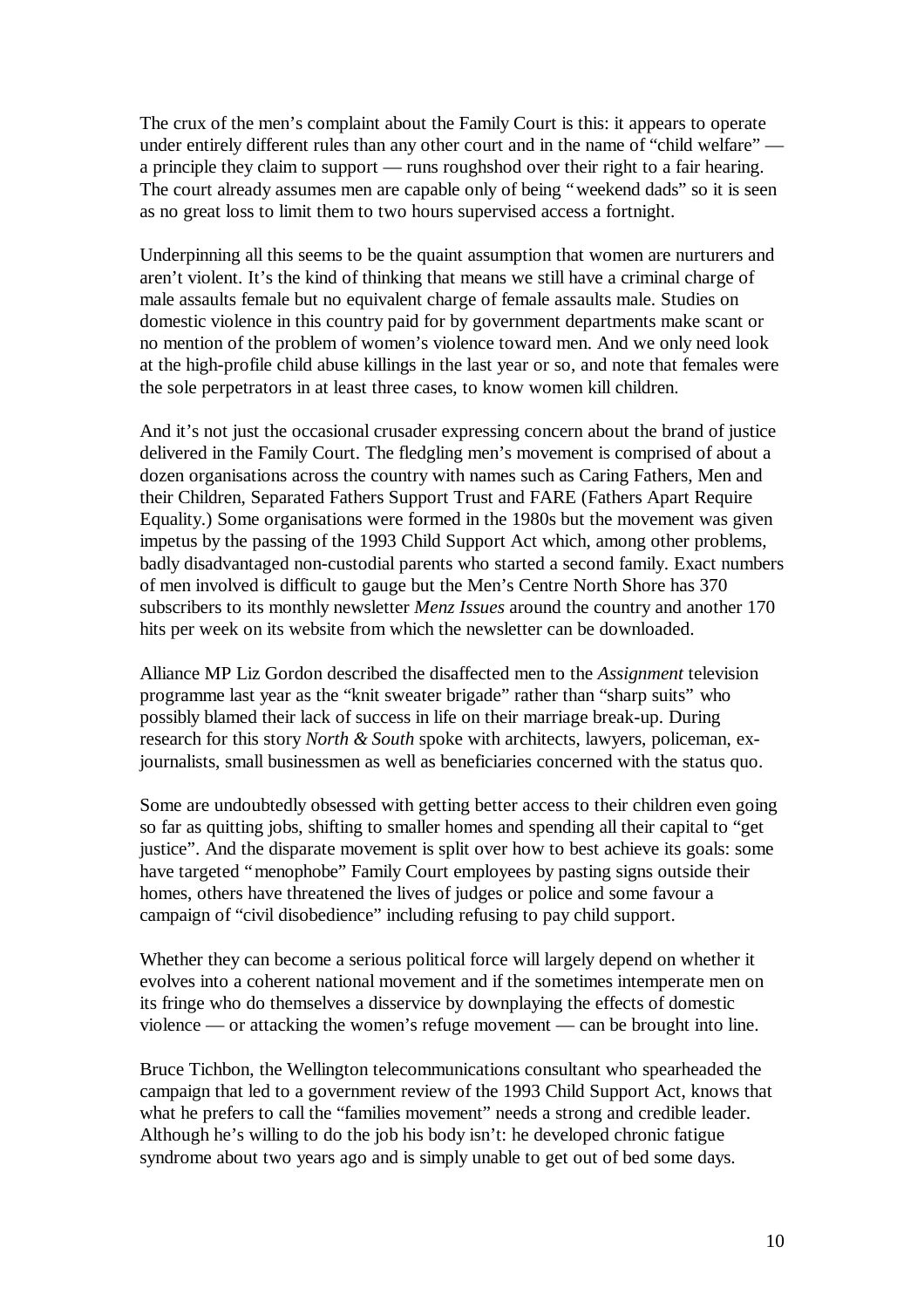The crux of the men's complaint about the Family Court is this: it appears to operate under entirely different rules than any other court and in the name of "child welfare" a principle they claim to support — runs roughshod over their right to a fair hearing. The court already assumes men are capable only of being "weekend dads" so it is seen as no great loss to limit them to two hours supervised access a fortnight.

Underpinning all this seems to be the quaint assumption that women are nurturers and aren't violent. It's the kind of thinking that means we still have a criminal charge of male assaults female but no equivalent charge of female assaults male. Studies on domestic violence in this country paid for by government departments make scant or no mention of the problem of women's violence toward men. And we only need look at the high-profile child abuse killings in the last year or so, and note that females were the sole perpetrators in at least three cases, to know women kill children.

And it's not just the occasional crusader expressing concern about the brand of justice delivered in the Family Court. The fledgling men's movement is comprised of about a dozen organisations across the country with names such as Caring Fathers, Men and their Children, Separated Fathers Support Trust and FARE (Fathers Apart Require Equality.) Some organisations were formed in the 1980s but the movement was given impetus by the passing of the 1993 Child Support Act which, among other problems, badly disadvantaged non-custodial parents who started a second family. Exact numbers of men involved is difficult to gauge but the Men's Centre North Shore has 370 subscribers to its monthly newsletter *Menz Issues* around the country and another 170 hits per week on its website from which the newsletter can be downloaded.

Alliance MP Liz Gordon described the disaffected men to the *Assignment* television programme last year as the "knit sweater brigade" rather than "sharp suits" who possibly blamed their lack of success in life on their marriage break-up. During research for this story *North & South* spoke with architects, lawyers, policeman, exjournalists, small businessmen as well as beneficiaries concerned with the status quo.

Some are undoubtedly obsessed with getting better access to their children even going so far as quitting jobs, shifting to smaller homes and spending all their capital to "get justice". And the disparate movement is split over how to best achieve its goals: some have targeted "menophobe" Family Court employees by pasting signs outside their homes, others have threatened the lives of judges or police and some favour a campaign of "civil disobedience" including refusing to pay child support.

Whether they can become a serious political force will largely depend on whether it evolves into a coherent national movement and if the sometimes intemperate men on its fringe who do themselves a disservice by downplaying the effects of domestic violence — or attacking the women's refuge movement — can be brought into line.

Bruce Tichbon, the Wellington telecommunications consultant who spearheaded the campaign that led to a government review of the 1993 Child Support Act, knows that what he prefers to call the "families movement" needs a strong and credible leader. Although he's willing to do the job his body isn't: he developed chronic fatigue syndrome about two years ago and is simply unable to get out of bed some days.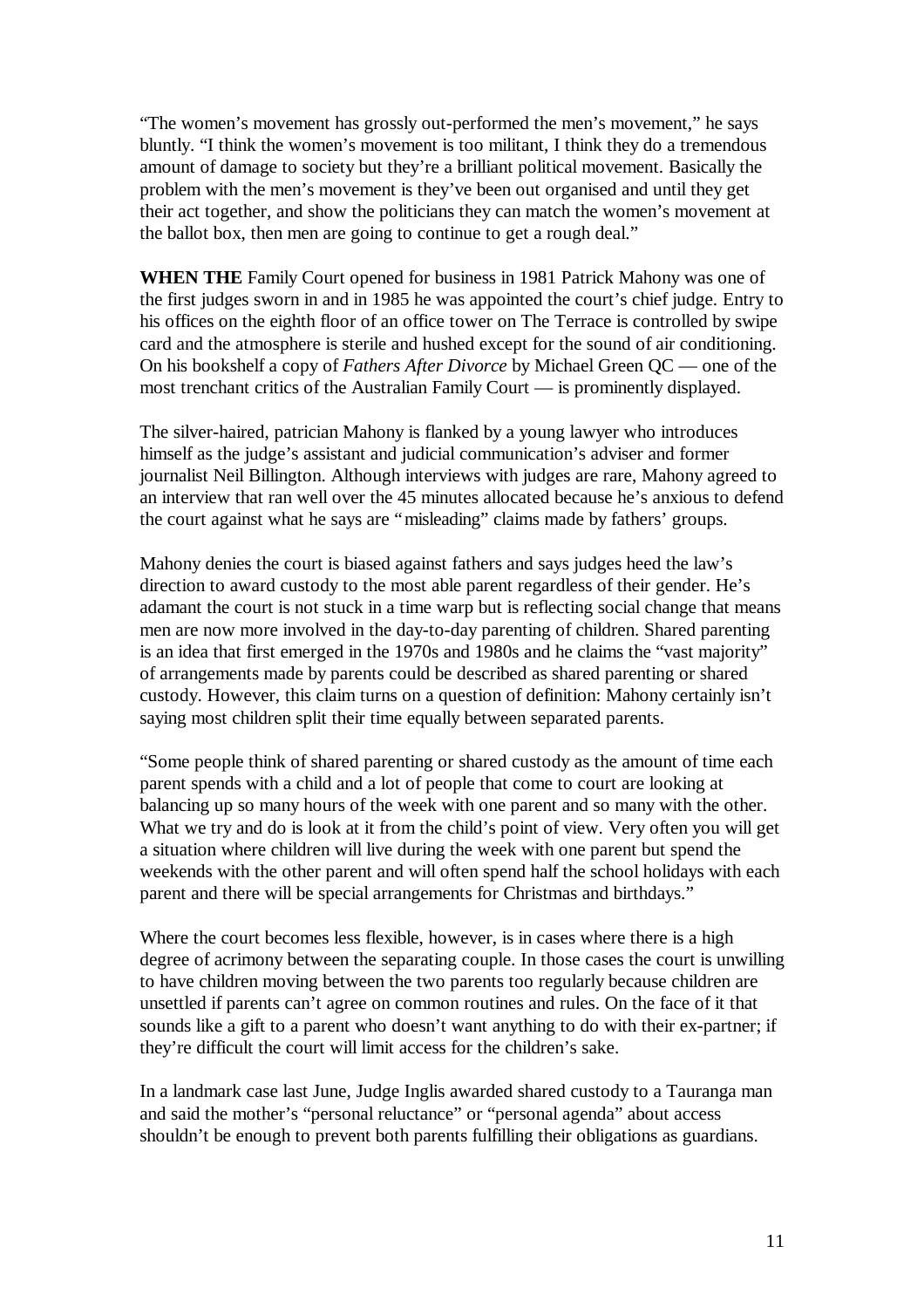"The women's movement has grossly out-performed the men's movement," he says bluntly. "I think the women's movement is too militant, I think they do a tremendous amount of damage to society but they're a brilliant political movement. Basically the problem with the men's movement is they've been out organised and until they get their act together, and show the politicians they can match the women's movement at the ballot box, then men are going to continue to get a rough deal."

**WHEN THE** Family Court opened for business in 1981 Patrick Mahony was one of the first judges sworn in and in 1985 he was appointed the court's chief judge. Entry to his offices on the eighth floor of an office tower on The Terrace is controlled by swipe card and the atmosphere is sterile and hushed except for the sound of air conditioning. On his bookshelf a copy of *Fathers After Divorce* by Michael Green QC — one of the most trenchant critics of the Australian Family Court — is prominently displayed.

The silver-haired, patrician Mahony is flanked by a young lawyer who introduces himself as the judge's assistant and judicial communication's adviser and former journalist Neil Billington. Although interviews with judges are rare, Mahony agreed to an interview that ran well over the 45 minutes allocated because he's anxious to defend the court against what he says are "misleading" claims made by fathers' groups.

Mahony denies the court is biased against fathers and says judges heed the law's direction to award custody to the most able parent regardless of their gender. He's adamant the court is not stuck in a time warp but is reflecting social change that means men are now more involved in the day-to-day parenting of children. Shared parenting is an idea that first emerged in the 1970s and 1980s and he claims the "vast majority" of arrangements made by parents could be described as shared parenting or shared custody. However, this claim turns on a question of definition: Mahony certainly isn't saying most children split their time equally between separated parents.

"Some people think of shared parenting or shared custody as the amount of time each parent spends with a child and a lot of people that come to court are looking at balancing up so many hours of the week with one parent and so many with the other. What we try and do is look at it from the child's point of view. Very often you will get a situation where children will live during the week with one parent but spend the weekends with the other parent and will often spend half the school holidays with each parent and there will be special arrangements for Christmas and birthdays."

Where the court becomes less flexible, however, is in cases where there is a high degree of acrimony between the separating couple. In those cases the court is unwilling to have children moving between the two parents too regularly because children are unsettled if parents can't agree on common routines and rules. On the face of it that sounds like a gift to a parent who doesn't want anything to do with their ex-partner; if they're difficult the court will limit access for the children's sake.

In a landmark case last June, Judge Inglis awarded shared custody to a Tauranga man and said the mother's "personal reluctance" or "personal agenda" about access shouldn't be enough to prevent both parents fulfilling their obligations as guardians.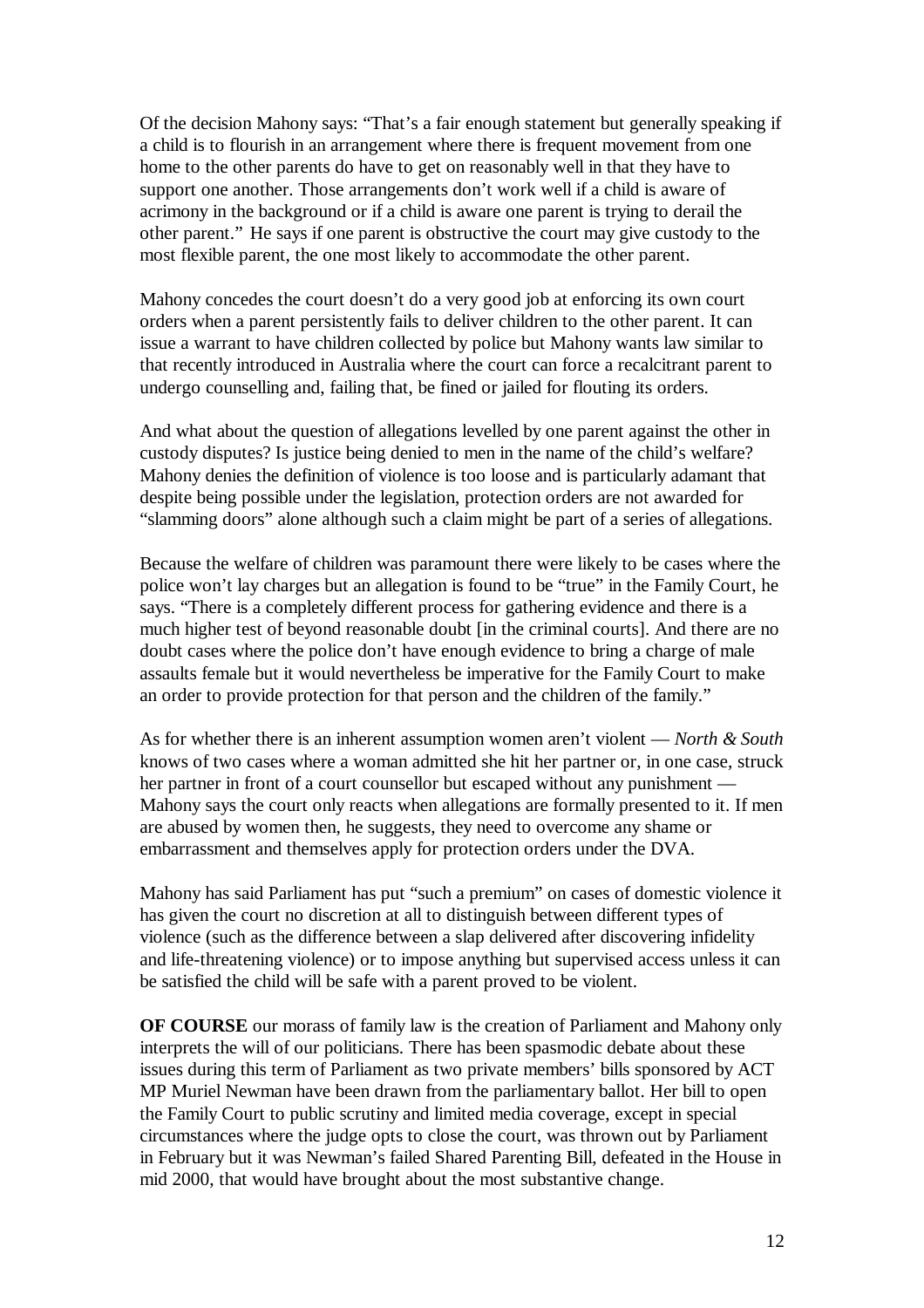Of the decision Mahony says: "That's a fair enough statement but generally speaking if a child is to flourish in an arrangement where there is frequent movement from one home to the other parents do have to get on reasonably well in that they have to support one another. Those arrangements don't work well if a child is aware of acrimony in the background or if a child is aware one parent is trying to derail the other parent." He says if one parent is obstructive the court may give custody to the most flexible parent, the one most likely to accommodate the other parent.

Mahony concedes the court doesn't do a very good job at enforcing its own court orders when a parent persistently fails to deliver children to the other parent. It can issue a warrant to have children collected by police but Mahony wants law similar to that recently introduced in Australia where the court can force a recalcitrant parent to undergo counselling and, failing that, be fined or jailed for flouting its orders.

And what about the question of allegations levelled by one parent against the other in custody disputes? Is justice being denied to men in the name of the child's welfare? Mahony denies the definition of violence is too loose and is particularly adamant that despite being possible under the legislation, protection orders are not awarded for "slamming doors" alone although such a claim might be part of a series of allegations.

Because the welfare of children was paramount there were likely to be cases where the police won't lay charges but an allegation is found to be "true" in the Family Court, he says. "There is a completely different process for gathering evidence and there is a much higher test of beyond reasonable doubt [in the criminal courts]. And there are no doubt cases where the police don't have enough evidence to bring a charge of male assaults female but it would nevertheless be imperative for the Family Court to make an order to provide protection for that person and the children of the family."

As for whether there is an inherent assumption women aren't violent — *North & South* knows of two cases where a woman admitted she hit her partner or, in one case, struck her partner in front of a court counsellor but escaped without any punishment — Mahony says the court only reacts when allegations are formally presented to it. If men are abused by women then, he suggests, they need to overcome any shame or embarrassment and themselves apply for protection orders under the DVA.

Mahony has said Parliament has put "such a premium" on cases of domestic violence it has given the court no discretion at all to distinguish between different types of violence (such as the difference between a slap delivered after discovering infidelity and life-threatening violence) or to impose anything but supervised access unless it can be satisfied the child will be safe with a parent proved to be violent.

**OF COURSE** our morass of family law is the creation of Parliament and Mahony only interprets the will of our politicians. There has been spasmodic debate about these issues during this term of Parliament as two private members' bills sponsored by ACT MP Muriel Newman have been drawn from the parliamentary ballot. Her bill to open the Family Court to public scrutiny and limited media coverage, except in special circumstances where the judge opts to close the court, was thrown out by Parliament in February but it was Newman's failed Shared Parenting Bill, defeated in the House in mid 2000, that would have brought about the most substantive change.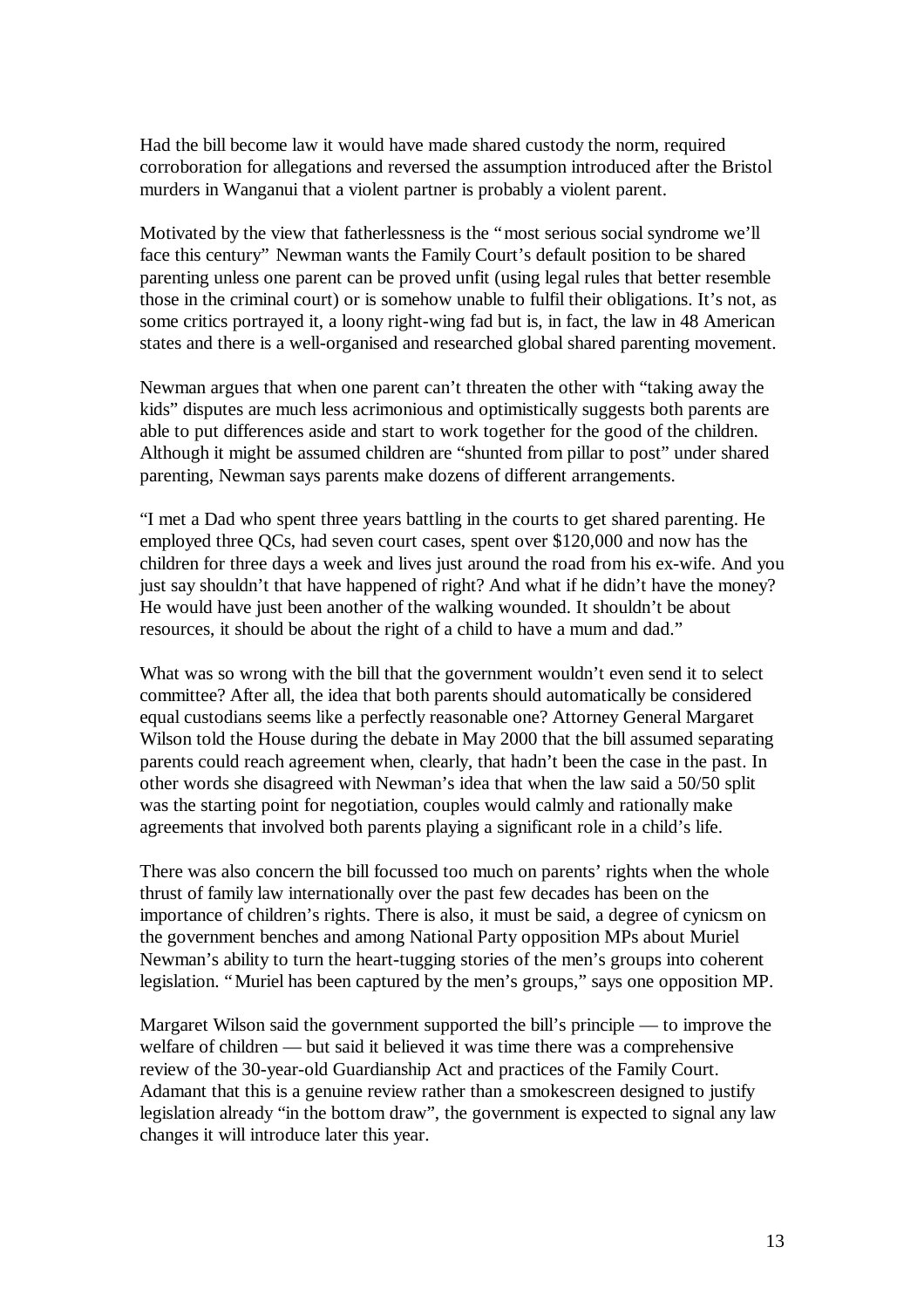Had the bill become law it would have made shared custody the norm, required corroboration for allegations and reversed the assumption introduced after the Bristol murders in Wanganui that a violent partner is probably a violent parent.

Motivated by the view that fatherlessness is the "most serious social syndrome we'll face this century" Newman wants the Family Court's default position to be shared parenting unless one parent can be proved unfit (using legal rules that better resemble those in the criminal court) or is somehow unable to fulfil their obligations. It's not, as some critics portrayed it, a loony right-wing fad but is, in fact, the law in 48 American states and there is a well-organised and researched global shared parenting movement.

Newman argues that when one parent can't threaten the other with "taking away the kids" disputes are much less acrimonious and optimistically suggests both parents are able to put differences aside and start to work together for the good of the children. Although it might be assumed children are "shunted from pillar to post" under shared parenting, Newman says parents make dozens of different arrangements.

"I met a Dad who spent three years battling in the courts to get shared parenting. He employed three QCs, had seven court cases, spent over \$120,000 and now has the children for three days a week and lives just around the road from his ex-wife. And you just say shouldn't that have happened of right? And what if he didn't have the money? He would have just been another of the walking wounded. It shouldn't be about resources, it should be about the right of a child to have a mum and dad."

What was so wrong with the bill that the government wouldn't even send it to select committee? After all, the idea that both parents should automatically be considered equal custodians seems like a perfectly reasonable one? Attorney General Margaret Wilson told the House during the debate in May 2000 that the bill assumed separating parents could reach agreement when, clearly, that hadn't been the case in the past. In other words she disagreed with Newman's idea that when the law said a 50/50 split was the starting point for negotiation, couples would calmly and rationally make agreements that involved both parents playing a significant role in a child's life.

There was also concern the bill focussed too much on parents' rights when the whole thrust of family law internationally over the past few decades has been on the importance of children's rights. There is also, it must be said, a degree of cynicsm on the government benches and among National Party opposition MPs about Muriel Newman's ability to turn the heart-tugging stories of the men's groups into coherent legislation. "Muriel has been captured by the men's groups," says one opposition MP.

Margaret Wilson said the government supported the bill's principle — to improve the welfare of children — but said it believed it was time there was a comprehensive review of the 30-year-old Guardianship Act and practices of the Family Court. Adamant that this is a genuine review rather than a smokescreen designed to justify legislation already "in the bottom draw", the government is expected to signal any law changes it will introduce later this year.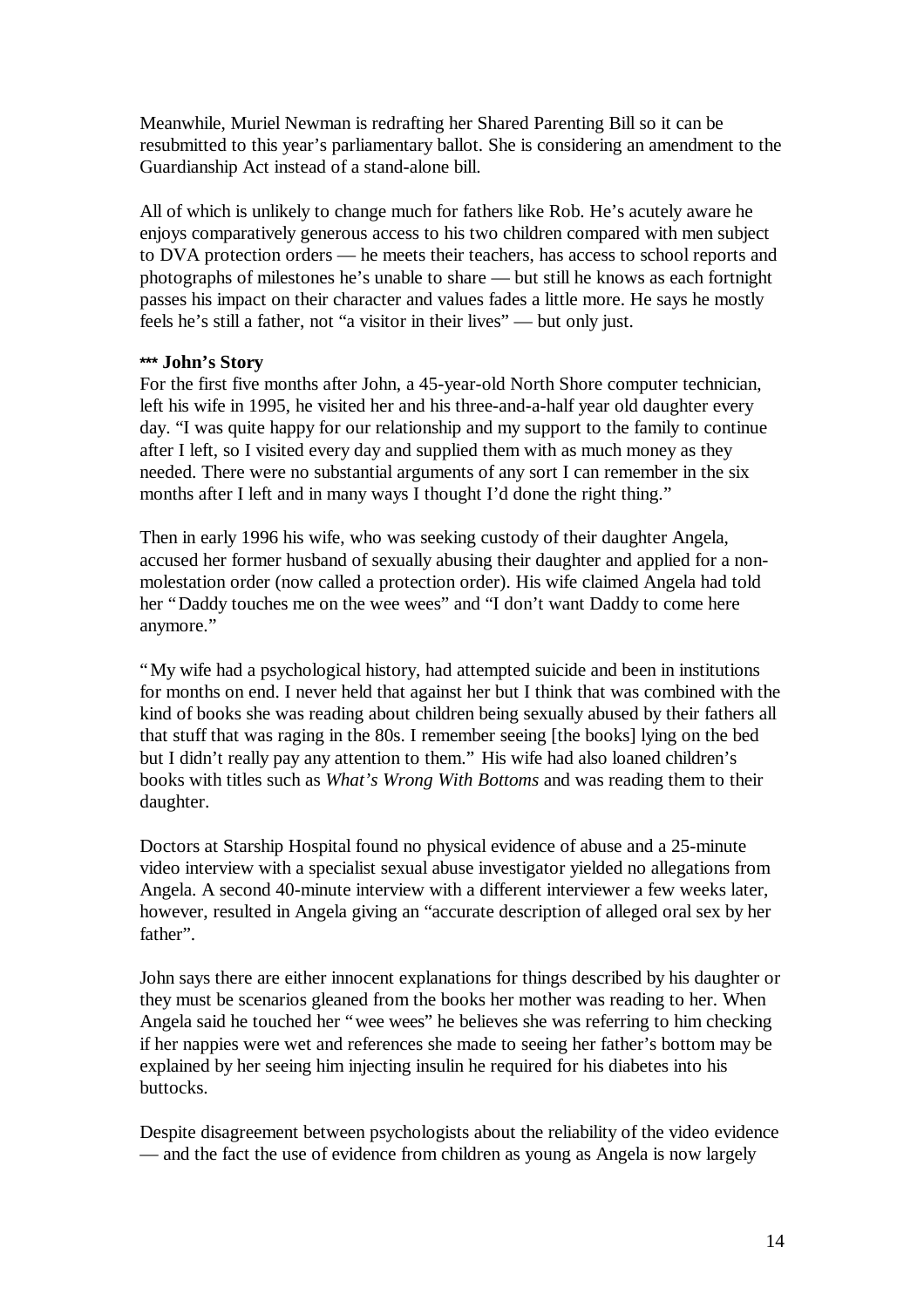Meanwhile, Muriel Newman is redrafting her Shared Parenting Bill so it can be resubmitted to this year's parliamentary ballot. She is considering an amendment to the Guardianship Act instead of a stand-alone bill.

All of which is unlikely to change much for fathers like Rob. He's acutely aware he enjoys comparatively generous access to his two children compared with men subject to DVA protection orders — he meets their teachers, has access to school reports and photographs of milestones he's unable to share — but still he knows as each fortnight passes his impact on their character and values fades a little more. He says he mostly feels he's still a father, not "a visitor in their lives" — but only just.

## **\*\*\* John's Story**

For the first five months after John, a 45-year-old North Shore computer technician, left his wife in 1995, he visited her and his three-and-a-half year old daughter every day. "I was quite happy for our relationship and my support to the family to continue after I left, so I visited every day and supplied them with as much money as they needed. There were no substantial arguments of any sort I can remember in the six months after I left and in many ways I thought I'd done the right thing."

Then in early 1996 his wife, who was seeking custody of their daughter Angela, accused her former husband of sexually abusing their daughter and applied for a nonmolestation order (now called a protection order). His wife claimed Angela had told her "Daddy touches me on the wee wees" and "I don't want Daddy to come here anymore."

"My wife had a psychological history, had attempted suicide and been in institutions for months on end. I never held that against her but I think that was combined with the kind of books she was reading about children being sexually abused by their fathers all that stuff that was raging in the 80s. I remember seeing [the books] lying on the bed but I didn't really pay any attention to them." His wife had also loaned children's books with titles such as *What's Wrong With Bottoms* and was reading them to their daughter.

Doctors at Starship Hospital found no physical evidence of abuse and a 25-minute video interview with a specialist sexual abuse investigator yielded no allegations from Angela. A second 40-minute interview with a different interviewer a few weeks later, however, resulted in Angela giving an "accurate description of alleged oral sex by her father".

John says there are either innocent explanations for things described by his daughter or they must be scenarios gleaned from the books her mother was reading to her. When Angela said he touched her "wee wees" he believes she was referring to him checking if her nappies were wet and references she made to seeing her father's bottom may be explained by her seeing him injecting insulin he required for his diabetes into his buttocks.

Despite disagreement between psychologists about the reliability of the video evidence — and the fact the use of evidence from children as young as Angela is now largely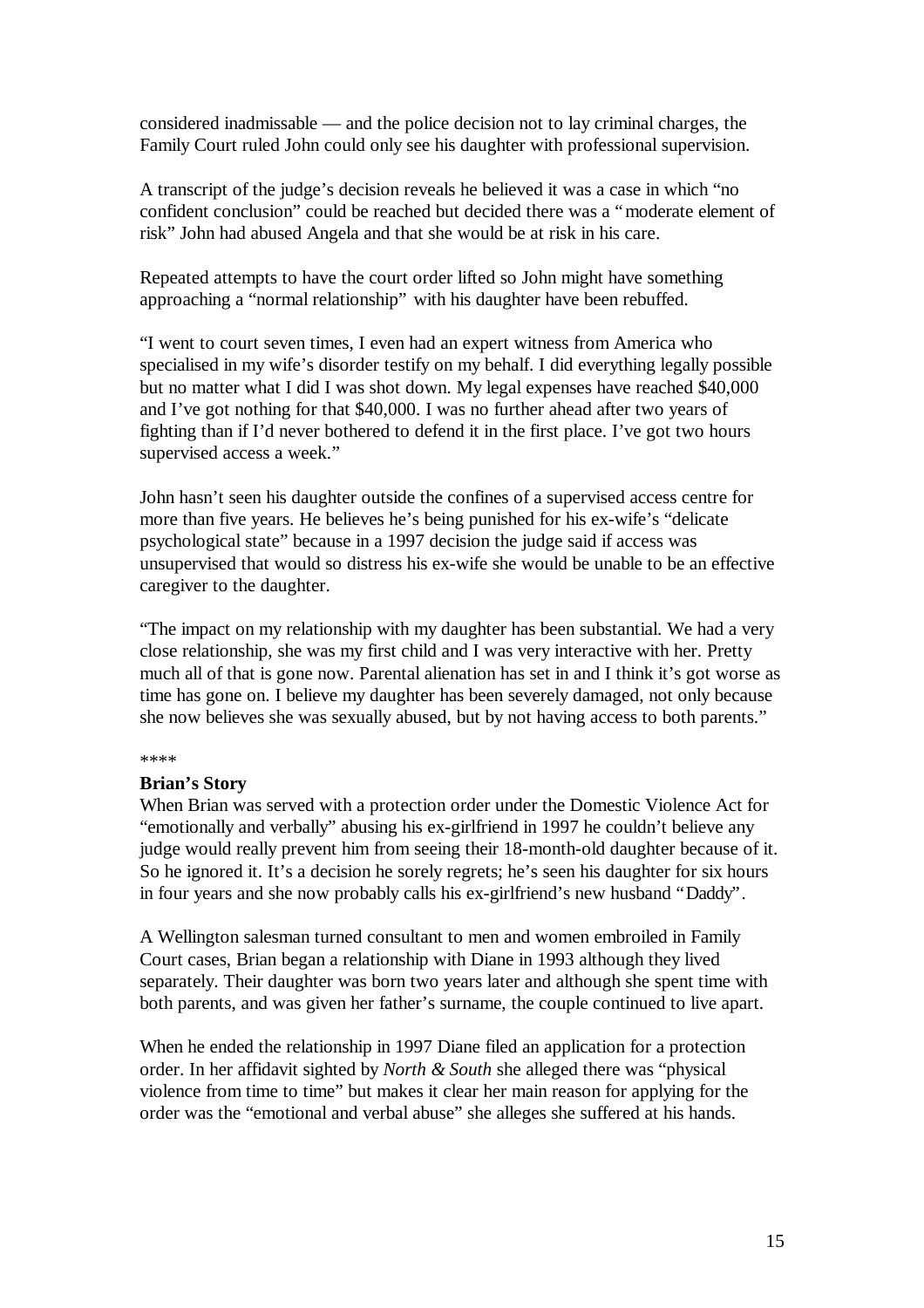considered inadmissable — and the police decision not to lay criminal charges, the Family Court ruled John could only see his daughter with professional supervision.

A transcript of the judge's decision reveals he believed it was a case in which "no confident conclusion" could be reached but decided there was a "moderate element of risk" John had abused Angela and that she would be at risk in his care.

Repeated attempts to have the court order lifted so John might have something approaching a "normal relationship" with his daughter have been rebuffed.

"I went to court seven times, I even had an expert witness from America who specialised in my wife's disorder testify on my behalf. I did everything legally possible but no matter what I did I was shot down. My legal expenses have reached \$40,000 and I've got nothing for that \$40,000. I was no further ahead after two years of fighting than if I'd never bothered to defend it in the first place. I've got two hours supervised access a week."

John hasn't seen his daughter outside the confines of a supervised access centre for more than five years. He believes he's being punished for his ex-wife's "delicate psychological state" because in a 1997 decision the judge said if access was unsupervised that would so distress his ex-wife she would be unable to be an effective caregiver to the daughter.

"The impact on my relationship with my daughter has been substantial. We had a very close relationship, she was my first child and I was very interactive with her. Pretty much all of that is gone now. Parental alienation has set in and I think it's got worse as time has gone on. I believe my daughter has been severely damaged, not only because she now believes she was sexually abused, but by not having access to both parents."

#### \*\*\*\*

#### **Brian's Story**

When Brian was served with a protection order under the Domestic Violence Act for "emotionally and verbally" abusing his ex-girlfriend in 1997 he couldn't believe any judge would really prevent him from seeing their 18-month-old daughter because of it. So he ignored it. It's a decision he sorely regrets; he's seen his daughter for six hours in four years and she now probably calls his ex-girlfriend's new husband "Daddy".

A Wellington salesman turned consultant to men and women embroiled in Family Court cases, Brian began a relationship with Diane in 1993 although they lived separately. Their daughter was born two years later and although she spent time with both parents, and was given her father's surname, the couple continued to live apart.

When he ended the relationship in 1997 Diane filed an application for a protection order. In her affidavit sighted by *North & South* she alleged there was "physical violence from time to time" but makes it clear her main reason for applying for the order was the "emotional and verbal abuse" she alleges she suffered at his hands.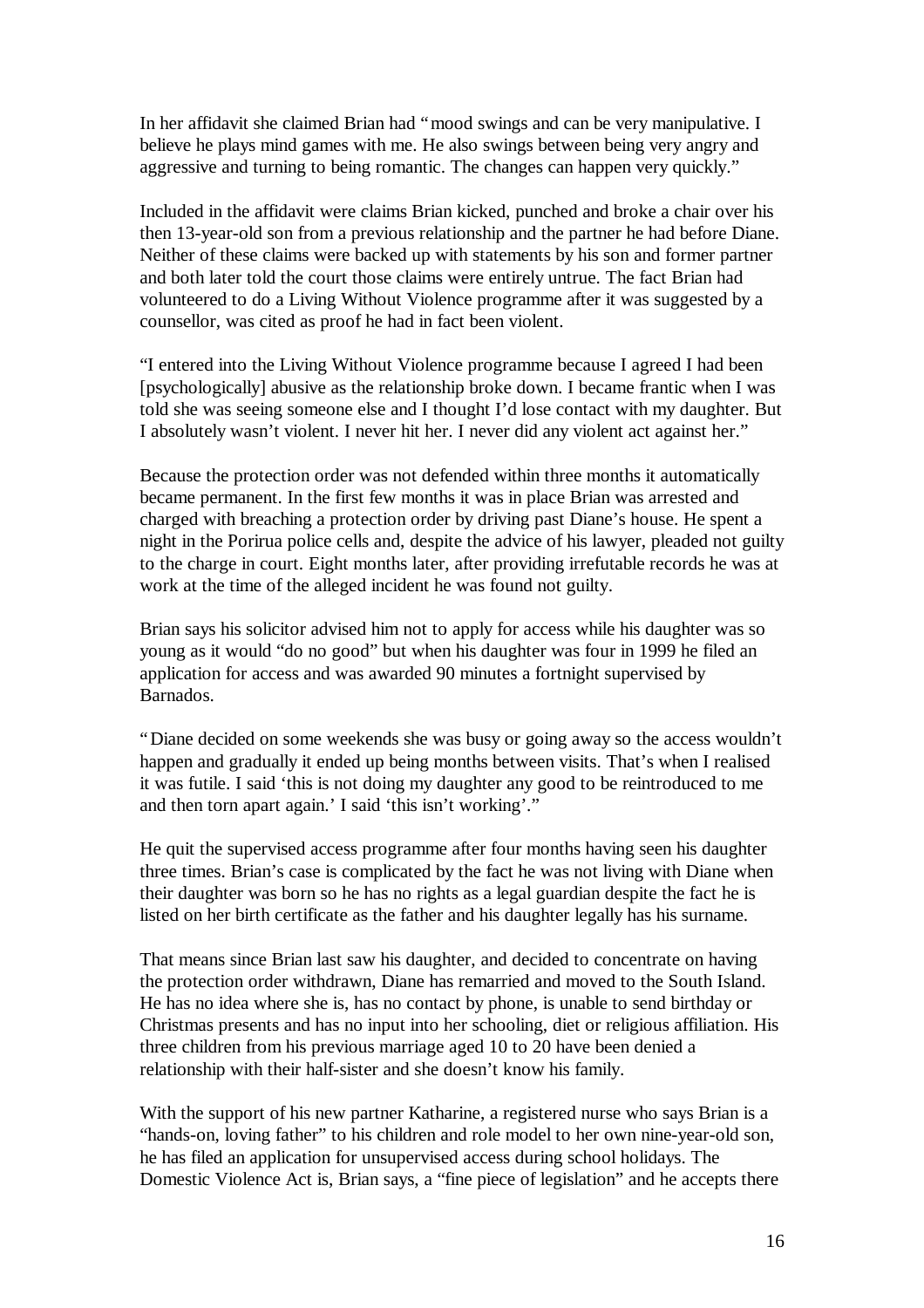In her affidavit she claimed Brian had "mood swings and can be very manipulative. I believe he plays mind games with me. He also swings between being very angry and aggressive and turning to being romantic. The changes can happen very quickly."

Included in the affidavit were claims Brian kicked, punched and broke a chair over his then 13-year-old son from a previous relationship and the partner he had before Diane. Neither of these claims were backed up with statements by his son and former partner and both later told the court those claims were entirely untrue. The fact Brian had volunteered to do a Living Without Violence programme after it was suggested by a counsellor, was cited as proof he had in fact been violent.

"I entered into the Living Without Violence programme because I agreed I had been [psychologically] abusive as the relationship broke down. I became frantic when I was told she was seeing someone else and I thought I'd lose contact with my daughter. But I absolutely wasn't violent. I never hit her. I never did any violent act against her."

Because the protection order was not defended within three months it automatically became permanent. In the first few months it was in place Brian was arrested and charged with breaching a protection order by driving past Diane's house. He spent a night in the Porirua police cells and, despite the advice of his lawyer, pleaded not guilty to the charge in court. Eight months later, after providing irrefutable records he was at work at the time of the alleged incident he was found not guilty.

Brian says his solicitor advised him not to apply for access while his daughter was so young as it would "do no good" but when his daughter was four in 1999 he filed an application for access and was awarded 90 minutes a fortnight supervised by Barnados.

"Diane decided on some weekends she was busy or going away so the access wouldn't happen and gradually it ended up being months between visits. That's when I realised it was futile. I said 'this is not doing my daughter any good to be reintroduced to me and then torn apart again.' I said 'this isn't working'."

He quit the supervised access programme after four months having seen his daughter three times. Brian's case is complicated by the fact he was not living with Diane when their daughter was born so he has no rights as a legal guardian despite the fact he is listed on her birth certificate as the father and his daughter legally has his surname.

That means since Brian last saw his daughter, and decided to concentrate on having the protection order withdrawn, Diane has remarried and moved to the South Island. He has no idea where she is, has no contact by phone, is unable to send birthday or Christmas presents and has no input into her schooling, diet or religious affiliation. His three children from his previous marriage aged 10 to 20 have been denied a relationship with their half-sister and she doesn't know his family.

With the support of his new partner Katharine, a registered nurse who says Brian is a "hands-on, loving father" to his children and role model to her own nine-year-old son, he has filed an application for unsupervised access during school holidays. The Domestic Violence Act is, Brian says, a "fine piece of legislation" and he accepts there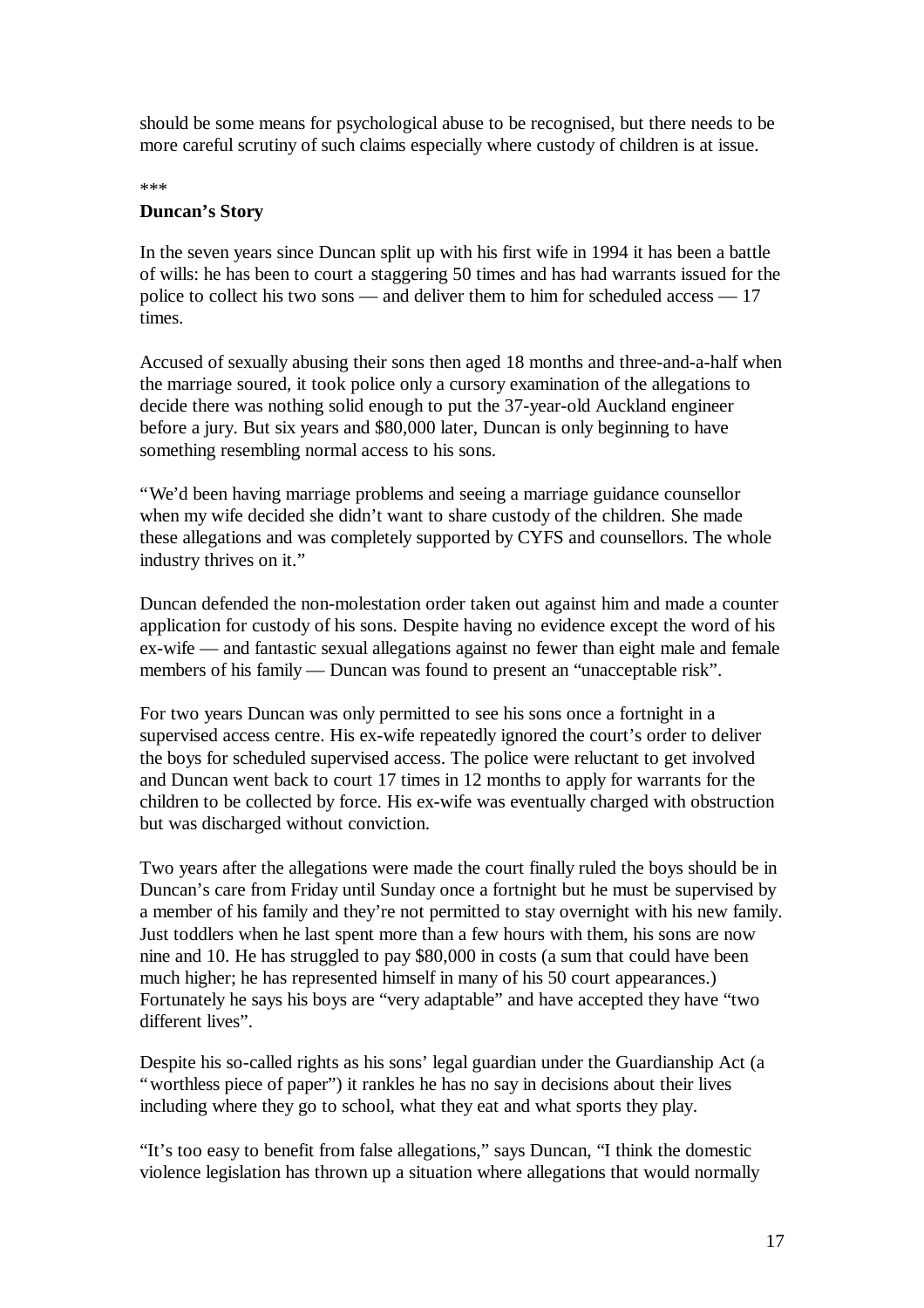should be some means for psychological abuse to be recognised, but there needs to be more careful scrutiny of such claims especially where custody of children is at issue.

\*\*\*

### **Duncan's Story**

In the seven years since Duncan split up with his first wife in 1994 it has been a battle of wills: he has been to court a staggering 50 times and has had warrants issued for the police to collect his two sons — and deliver them to him for scheduled access — 17 times.

Accused of sexually abusing their sons then aged 18 months and three-and-a-half when the marriage soured, it took police only a cursory examination of the allegations to decide there was nothing solid enough to put the 37-year-old Auckland engineer before a jury. But six years and \$80,000 later, Duncan is only beginning to have something resembling normal access to his sons.

"We'd been having marriage problems and seeing a marriage guidance counsellor when my wife decided she didn't want to share custody of the children. She made these allegations and was completely supported by CYFS and counsellors. The whole industry thrives on it."

Duncan defended the non-molestation order taken out against him and made a counter application for custody of his sons. Despite having no evidence except the word of his ex-wife — and fantastic sexual allegations against no fewer than eight male and female members of his family — Duncan was found to present an "unacceptable risk".

For two years Duncan was only permitted to see his sons once a fortnight in a supervised access centre. His ex-wife repeatedly ignored the court's order to deliver the boys for scheduled supervised access. The police were reluctant to get involved and Duncan went back to court 17 times in 12 months to apply for warrants for the children to be collected by force. His ex-wife was eventually charged with obstruction but was discharged without conviction.

Two years after the allegations were made the court finally ruled the boys should be in Duncan's care from Friday until Sunday once a fortnight but he must be supervised by a member of his family and they're not permitted to stay overnight with his new family. Just toddlers when he last spent more than a few hours with them, his sons are now nine and 10. He has struggled to pay \$80,000 in costs (a sum that could have been much higher; he has represented himself in many of his 50 court appearances.) Fortunately he says his boys are "very adaptable" and have accepted they have "two different lives".

Despite his so-called rights as his sons' legal guardian under the Guardianship Act (a "worthless piece of paper") it rankles he has no say in decisions about their lives including where they go to school, what they eat and what sports they play.

"It's too easy to benefit from false allegations," says Duncan, "I think the domestic violence legislation has thrown up a situation where allegations that would normally